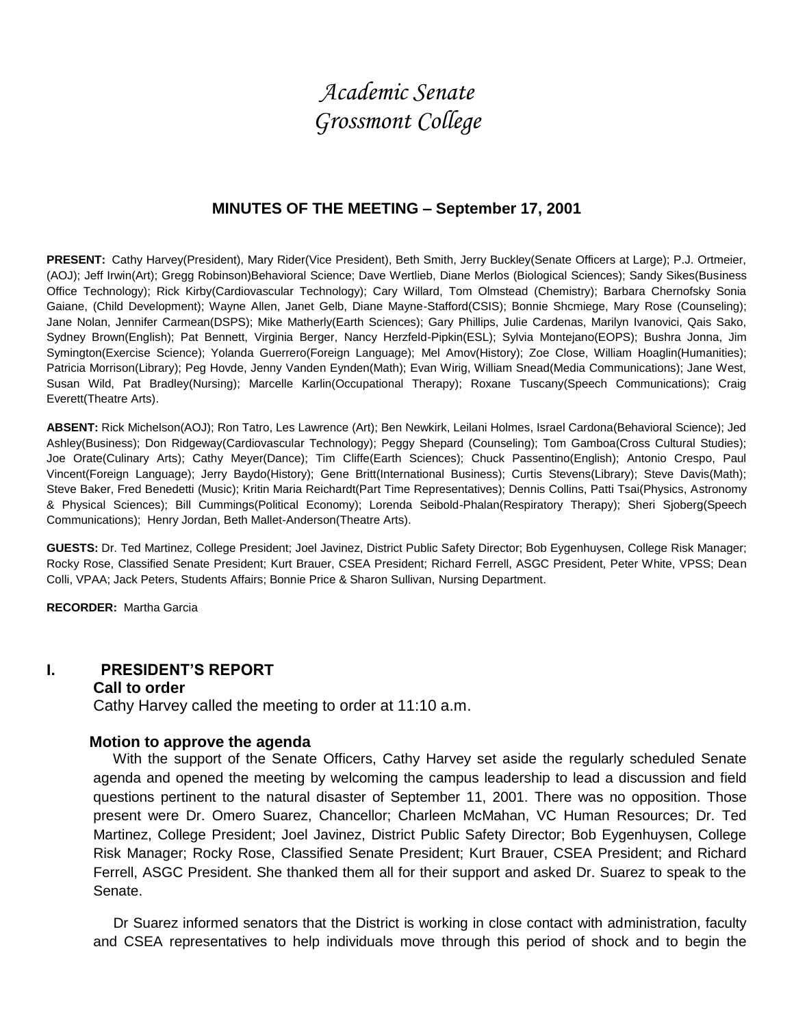# *Academic Senate Grossmont College*

### **MINUTES OF THE MEETING – September 17, 2001**

**PRESENT:** Cathy Harvey(President), Mary Rider(Vice President), Beth Smith, Jerry Buckley(Senate Officers at Large); P.J. Ortmeier, (AOJ); Jeff Irwin(Art); Gregg Robinson)Behavioral Science; Dave Wertlieb, Diane Merlos (Biological Sciences); Sandy Sikes(Business Office Technology); Rick Kirby(Cardiovascular Technology); Cary Willard, Tom Olmstead (Chemistry); Barbara Chernofsky Sonia Gaiane, (Child Development); Wayne Allen, Janet Gelb, Diane Mayne-Stafford(CSIS); Bonnie Shcmiege, Mary Rose (Counseling); Jane Nolan, Jennifer Carmean(DSPS); Mike Matherly(Earth Sciences); Gary Phillips, Julie Cardenas, Marilyn Ivanovici, Qais Sako, Sydney Brown(English); Pat Bennett, Virginia Berger, Nancy Herzfeld-Pipkin(ESL); Sylvia Montejano(EOPS); Bushra Jonna, Jim Symington(Exercise Science); Yolanda Guerrero(Foreign Language); Mel Amov(History); Zoe Close, William Hoaglin(Humanities); Patricia Morrison(Library); Peg Hovde, Jenny Vanden Eynden(Math); Evan Wirig, William Snead(Media Communications); Jane West, Susan Wild, Pat Bradley(Nursing); Marcelle Karlin(Occupational Therapy); Roxane Tuscany(Speech Communications); Craig Everett(Theatre Arts).

**ABSENT:** Rick Michelson(AOJ); Ron Tatro, Les Lawrence (Art); Ben Newkirk, Leilani Holmes, Israel Cardona(Behavioral Science); Jed Ashley(Business); Don Ridgeway(Cardiovascular Technology); Peggy Shepard (Counseling); Tom Gamboa(Cross Cultural Studies); Joe Orate(Culinary Arts); Cathy Meyer(Dance); Tim Cliffe(Earth Sciences); Chuck Passentino(English); Antonio Crespo, Paul Vincent(Foreign Language); Jerry Baydo(History); Gene Britt(International Business); Curtis Stevens(Library); Steve Davis(Math); Steve Baker, Fred Benedetti (Music); Kritin Maria Reichardt(Part Time Representatives); Dennis Collins, Patti Tsai(Physics, Astronomy & Physical Sciences); Bill Cummings(Political Economy); Lorenda Seibold-Phalan(Respiratory Therapy); Sheri Sjoberg(Speech Communications); Henry Jordan, Beth Mallet-Anderson(Theatre Arts).

**GUESTS:** Dr. Ted Martinez, College President; Joel Javinez, District Public Safety Director; Bob Eygenhuysen, College Risk Manager; Rocky Rose, Classified Senate President; Kurt Brauer, CSEA President; Richard Ferrell, ASGC President, Peter White, VPSS; Dean Colli, VPAA; Jack Peters, Students Affairs; Bonnie Price & Sharon Sullivan, Nursing Department.

**RECORDER:** Martha Garcia

## **I. PRESIDENT'S REPORT**

### **Call to order**

Cathy Harvey called the meeting to order at 11:10 a.m.

#### **Motion to approve the agenda**

 With the support of the Senate Officers, Cathy Harvey set aside the regularly scheduled Senate agenda and opened the meeting by welcoming the campus leadership to lead a discussion and field questions pertinent to the natural disaster of September 11, 2001. There was no opposition. Those present were Dr. Omero Suarez, Chancellor; Charleen McMahan, VC Human Resources; Dr. Ted Martinez, College President; Joel Javinez, District Public Safety Director; Bob Eygenhuysen, College Risk Manager; Rocky Rose, Classified Senate President; Kurt Brauer, CSEA President; and Richard Ferrell, ASGC President. She thanked them all for their support and asked Dr. Suarez to speak to the Senate.

 Dr Suarez informed senators that the District is working in close contact with administration, faculty and CSEA representatives to help individuals move through this period of shock and to begin the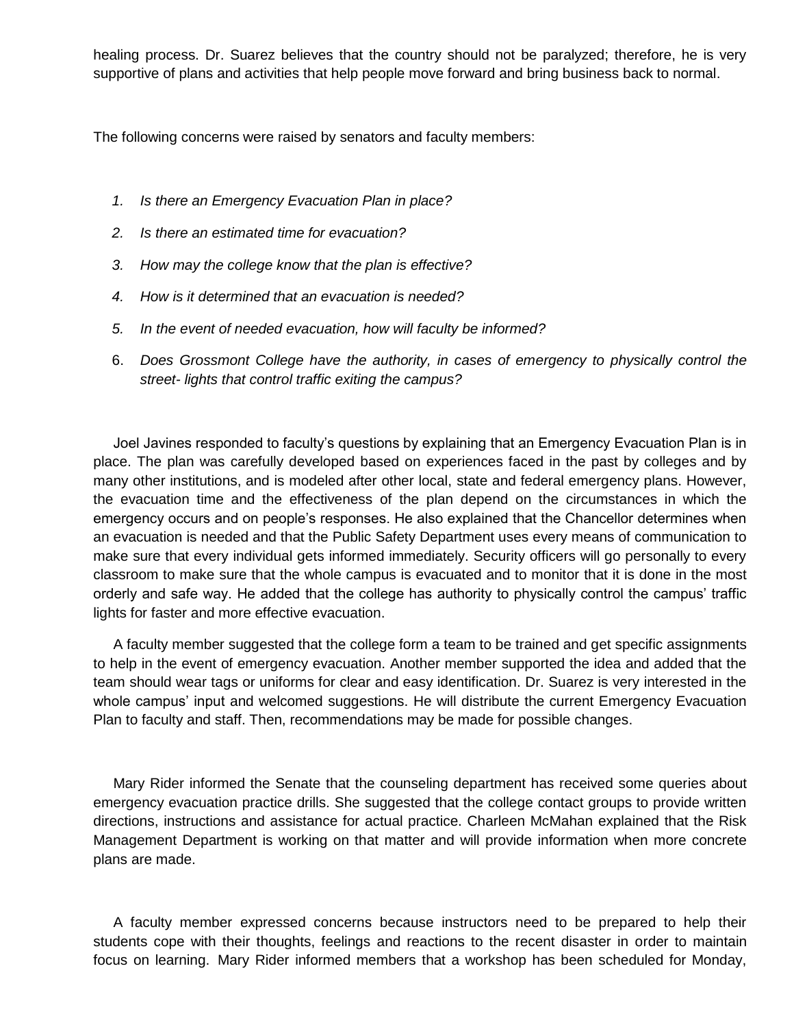healing process. Dr. Suarez believes that the country should not be paralyzed; therefore, he is very supportive of plans and activities that help people move forward and bring business back to normal.

The following concerns were raised by senators and faculty members:

- *1. Is there an Emergency Evacuation Plan in place?*
- *2. Is there an estimated time for evacuation?*
- *3. How may the college know that the plan is effective?*
- *4. How is it determined that an evacuation is needed?*
- *5. In the event of needed evacuation, how will faculty be informed?*
- 6. *Does Grossmont College have the authority, in cases of emergency to physically control the street- lights that control traffic exiting the campus?*

 Joel Javines responded to faculty's questions by explaining that an Emergency Evacuation Plan is in place. The plan was carefully developed based on experiences faced in the past by colleges and by many other institutions, and is modeled after other local, state and federal emergency plans. However, the evacuation time and the effectiveness of the plan depend on the circumstances in which the emergency occurs and on people's responses. He also explained that the Chancellor determines when an evacuation is needed and that the Public Safety Department uses every means of communication to make sure that every individual gets informed immediately. Security officers will go personally to every classroom to make sure that the whole campus is evacuated and to monitor that it is done in the most orderly and safe way. He added that the college has authority to physically control the campus' traffic lights for faster and more effective evacuation.

 A faculty member suggested that the college form a team to be trained and get specific assignments to help in the event of emergency evacuation. Another member supported the idea and added that the team should wear tags or uniforms for clear and easy identification. Dr. Suarez is very interested in the whole campus' input and welcomed suggestions. He will distribute the current Emergency Evacuation Plan to faculty and staff. Then, recommendations may be made for possible changes.

 Mary Rider informed the Senate that the counseling department has received some queries about emergency evacuation practice drills. She suggested that the college contact groups to provide written directions, instructions and assistance for actual practice. Charleen McMahan explained that the Risk Management Department is working on that matter and will provide information when more concrete plans are made.

 A faculty member expressed concerns because instructors need to be prepared to help their students cope with their thoughts, feelings and reactions to the recent disaster in order to maintain focus on learning. Mary Rider informed members that a workshop has been scheduled for Monday,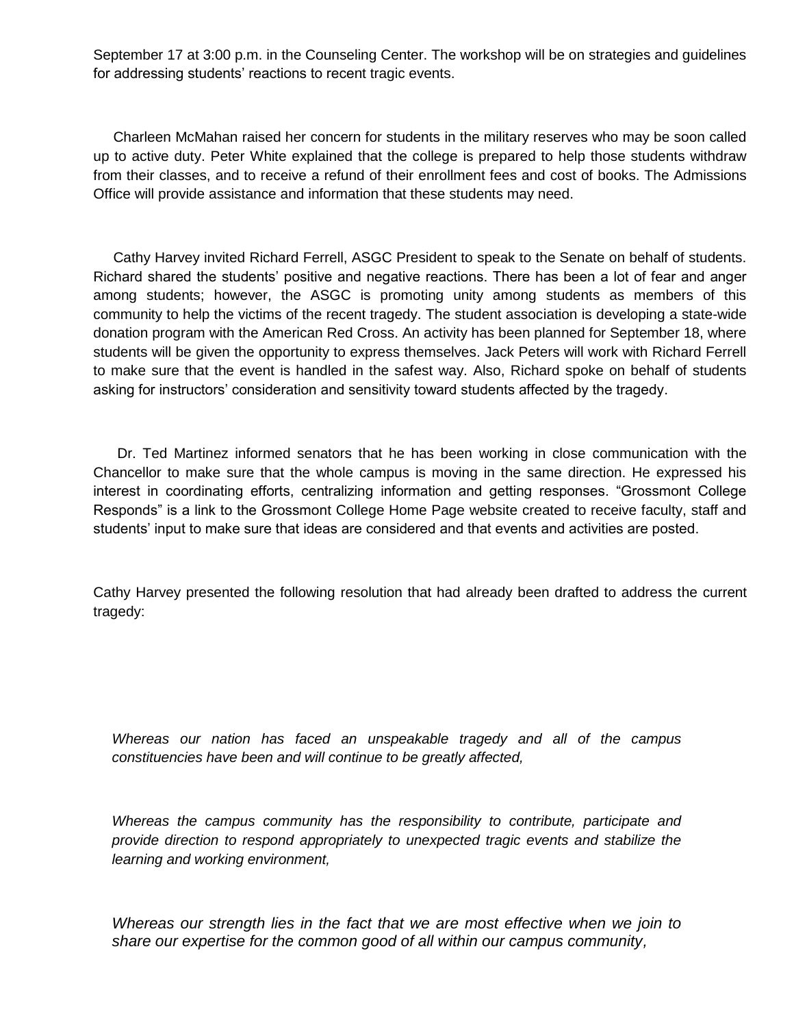September 17 at 3:00 p.m. in the Counseling Center. The workshop will be on strategies and guidelines for addressing students' reactions to recent tragic events.

 Charleen McMahan raised her concern for students in the military reserves who may be soon called up to active duty. Peter White explained that the college is prepared to help those students withdraw from their classes, and to receive a refund of their enrollment fees and cost of books. The Admissions Office will provide assistance and information that these students may need.

 Cathy Harvey invited Richard Ferrell, ASGC President to speak to the Senate on behalf of students. Richard shared the students' positive and negative reactions. There has been a lot of fear and anger among students; however, the ASGC is promoting unity among students as members of this community to help the victims of the recent tragedy. The student association is developing a state-wide donation program with the American Red Cross. An activity has been planned for September 18, where students will be given the opportunity to express themselves. Jack Peters will work with Richard Ferrell to make sure that the event is handled in the safest way. Also, Richard spoke on behalf of students asking for instructors' consideration and sensitivity toward students affected by the tragedy.

 Dr. Ted Martinez informed senators that he has been working in close communication with the Chancellor to make sure that the whole campus is moving in the same direction. He expressed his interest in coordinating efforts, centralizing information and getting responses. "Grossmont College Responds" is a link to the Grossmont College Home Page website created to receive faculty, staff and students' input to make sure that ideas are considered and that events and activities are posted.

Cathy Harvey presented the following resolution that had already been drafted to address the current tragedy:

*Whereas our nation has faced an unspeakable tragedy and all of the campus constituencies have been and will continue to be greatly affected,*

*Whereas the campus community has the responsibility to contribute, participate and provide direction to respond appropriately to unexpected tragic events and stabilize the learning and working environment,*

*Whereas our strength lies in the fact that we are most effective when we join to share our expertise for the common good of all within our campus community,*